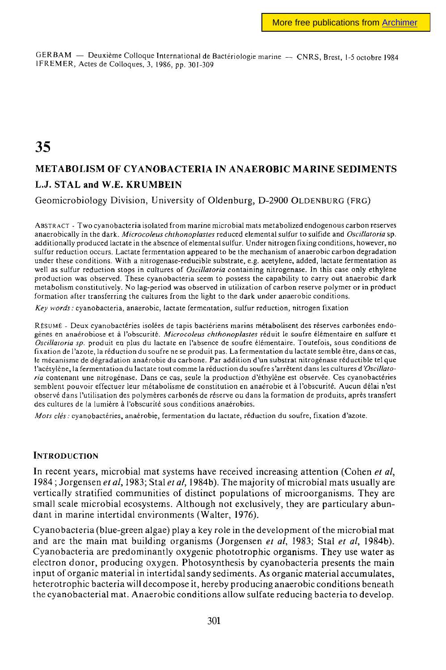GERBAM — Deuxième Colloque International de Bactériologie marine — CNRS, Brest, 1-5 octobre 1984 1FREMER, Actes de Colloques, 3, 1986, pp. 301-309

# **35**

# **METABOLISM OF CYANOBACTERIA IN ANAEROBIC MARINE SEDIMENTS L.J. STAL and W.E. KRUMBEIN**

Geomicrobiology Division, University of Oldenburg, D-2900 OLDENBURG (FRG)

ABSTRACT - Two cyanobacteria isolated from marine microbial mats metabolized endogenous carbon reserves anaerobically in the dark. *Microcoleus chlhonoplasles* reduced elemental sulfur to sulfide and *Oscillatoria* sp. additionally produced lactate in the absence of elemental sulfur. Under nitrogen fixing conditions, however, no sulfur reduction occurs. Lactate fermentation appeared to be the mechanism of anaerobic carbon degradation under these conditions. With a nitrogenase-reducible substrate, e.g. acetylene, added, lactate fermentation as well as sulfur reduction stops in cultures of *Oscillatoria* containing nitrogenase. In this case only ethylene production was observed. These cyanobacteria seem to possess the capability to carry out anaerobic dark metabolism constitutively. No lag-period was observed in utilization of carbon reserve polymer or in product formation after transferring the cultures from the light to the dark under anaerobic conditions.

*Key words :* cyanobacteria, anaerobic, lactate fermentation, sulfur reduction, nitrogen fixation

RÉSUMÉ - Deux cyanobactéries isolées de tapis bactériens marins métabolisent des réserves carbonées endogènes en anaéroblose et à l'obscurité. *Microcoleus chlhonoplastes* réduit le soufre élémentaire en sulfure et *Oscillatoria sp.* produit en plus du lactate en l'absence de soufre élémentaire. Toutefois, sous conditions de fixation de l'azote, la réduction du soufre ne se produit pas. La fermentation du lactate semble être, dans ce cas, le mécanisme de dégradation anaérobie du carbone. Par addition d'un substrat nitrogénase réductible tel que l'acétylène, la fermentation du lactate tout comme la réduction du soufre s'arrêtent dans les cultures d*'Oscillatoria* contenant une nitrogénase. Dans ce cas, seule la production d'éthylène est observée. Ces cyanobactéries semblent pouvoir effectuer leur métabolisme de constitution en anaérobie et à l'obscurité. Aucun délai n'est observé dans l'utilisation des polymères carbonés de réserve ou dans la formation de produits, après transfert des cultures de la lumière à l'obscurité sous conditions anaérobies.

*Mots clés :* cyanobactéries, anaérobie, fermentation du lactate, réduction du soufre, fixation d'azote.

#### INTRODUCTION

In recent years, microbial mat systems have received increasing attention (Cohen *et al,*  1984 ; Jorgensen *et al,* 1983; Stal *et al,* 1984b). The majority of microbial mats usually are vertically stratified communities of distinct populations of microorganisms. They are small scale microbial ecosystems. Although not exclusively, they are particulary abundant in marine intertidal environments (Walter, 1976).

Cyanobacteria (blue-green algae) play a key role in the development of the microbial mat and are the main mat building organisms (Jorgensen *et al,* 1983; Stal *et al,* 1984b). Cyanobacteria are predominantly oxygenic phototrophic organisms. They use water as electron donor, producing oxygen. Photosynthesis by cyanobacteria presents the main input of organic material in intertidal sandy sediments. As organic material accumulates, heterotrophic bacteria will decompose it, hereby producing anaerobic conditions beneath the cyanobacterial mat. Anaerobic conditions allow sulfate reducing bacteria to develop.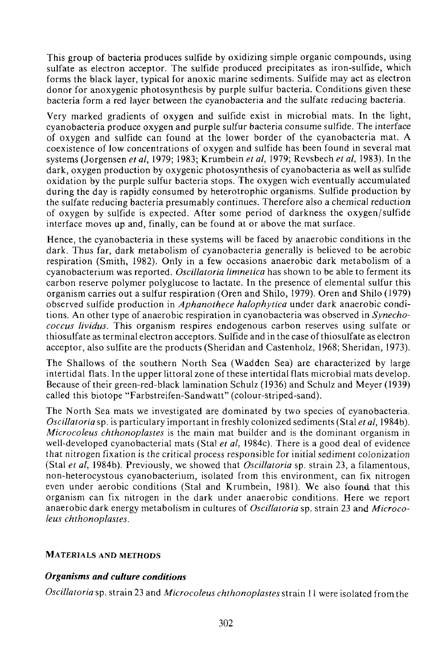This group of bacteria produces sulfide by oxidizing simple organic compounds, using sulfate as electron acceptor. The sulfide produced precipitates as iron-sulfide, which forms the black layer, typical for anoxic marine sediments. Sulfide may act as electron donor for anoxygenic photosynthesis by purple sulfur bacteria. Conditions given these bacteria form a red layer between the cyanobacteria and the sulfate reducing bacteria.

Very marked gradients of oxygen and sulfide exist in microbial mats. In the light, cyanobacteria produce oxygen and purple sulfur bacteria consume sulfide. The interface of oxygen and sulfide can found at the lower border of the cyanobactena mat. A coexistence of low concentrations of oxygen and sulfide has been found in several mat systems (Jorgensen *et al,* 1979; 1983; Krumbein *et al,* 1979; Revsbech *et al,* 1983). In the dark, oxygen production by oxygenic photosynthesis of cyanobacteria as well as sulfide oxidation by the purple sulfur bacteria stops. The oxygen wich eventually accumulated during the day is rapidly consumed by heterotrophic organisms. Sulfide production by the sulfate reducing bacteria presumably continues. Therefore also a chemical reduction of oxygen by sulfide is expected. After some period of darkness the oxygen/sulfide interface moves up and, finally, can be found at or above the mat surface.

Hence, the cyanobacteria in these systems will be faced by anaerobic conditions in the dark. Thus far, dark metabolism of cyanobacteria generally is believed to be aerobic respiration (Smith, 1982). Only in a few occasions anaerobic dark metabolism of a cyanobacterium was reported. *Oscillatoria limnetica* has shown to be able to ferment its carbon reserve polymer polyglucose to lactate. In the presence of elemental sulfur this organism carries out a sulfur respiration (Oren and Shilo, 1979). Oren and Shilo (1979) observed sulfide production in *Aphanothece halophytica* under dark anaerobic conditions. An other type of anaerobic respiration in cyanobacteria was observed in *Synechococcus lividus.* This organism respires endogenous carbon reserves using sulfate or thiosulfate as terminal electron acceptors. Sulfide and in the case of thiosulfate as electron acceptor, also sulfite are the products (Sheridan and Castenholz, 1968; Sheridan, 1973).

The Shallows of the southern North Sea (Wadden Sea) are characterized by large intertidal fiats. In the upper littoral zone of these intertidal flats microbial mats develop. Because of their green-red-black lamination Schulz (1936) and Schulz and Meyer (1939) called this biotope "Farbstreifen-Sandwatt" (colour-striped-sand).

The North Sea mats we investigated are dominated by two species of cyanobacteria. *Oscillatoria* sp. is particulary important in freshly colonized sediments (Stal *et al,* 1984b). *Microcoleus chthonoplastes* is the main mat builder and is the dominant organism in well-developed cyanobacterial mats (Stal *et al,* 1984c). There is a good deal of evidence that nitrogen fixation is the critical process responsible for initial sediment colonization (Stal *et al,* 1984b). Previously, we showed that *Oscillatoria* sp. strain 23, a filamentous, non-heterocystous cyanobacterium, isolated from this environment, can fix nitrogen even under aerobic conditions (Stal and Krumbein, 1981). We also found that this organism can fix nitrogen in the dark under anaerobic conditions. Here we report anaerobic dark energy metabolism in cultures of *Oscillatoria* sp. strain 23 and *Microcoleus chthonoplastes.* 

#### MATERIALS AND **METHODS**

#### *Organisms and culture conditions*

*Oscillatoria* sp. strain 23 and *Microcoleus chthonoplastes* strain 11 were isolated from the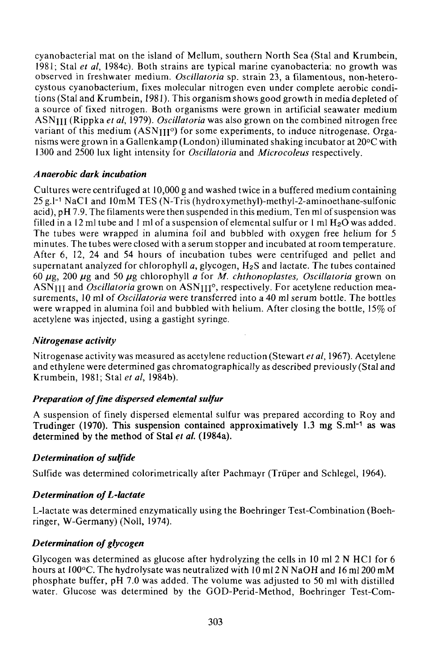cyanobacterial mat on the island of Mellum, southern North Sea (Stal and Krumbein, 1981; Stal *et al,* 1984c). Both strains are typical marine cyanobacteria: no growth was observed in freshwater medium. *Oscillatoria* sp. strain 23, a filamentous, non-heterocystous cyanobacterium, fixes molecular nitrogen even under complete aerobic conditions (Stal and Krumbein, 1981 ). This organism shows good growth in media depleted of a source of fixed nitrogen. Both organisms were grown in artificial seawater medium ASNJII (Rippka *et al,* 1979). *Oscillatoria* was also grown on the combined nitrogen free variant of this medium  $(ASNIII^{\circ})$  for some experiments, to induce nitrogenase. Organisms were grown in a Gallenkamp (London) illuminated shaking incubator at 20°C with 1300 and 2500 lux light intensity for *Oscillatoria* and *Microcoleus* respectively.

# *Anaerobic dark incubation*

Cultures were centrifuged at 10,000 g and washed twice in a buffered medium containing 25 g.l-1 NaCl and lOmM TES (N-Tris (hydroxymethyl)-methyl-2-aminoethane-suIfonic acid), pH 7.9. The filaments were then suspended in this medium. Ten ml of suspension was filled in a 12 ml tube and 1 ml of a suspension of elemental sulfur or 1 ml  $H_2O$  was added. The tubes were wrapped in alumina foil and bubbled with oxygen free helium for 5 minutes. The tubes were closed with a serum stopper and incubated at room temperature. After 6, 12, 24 and 54 hours of incubation tubes were centrifuged and pellet and supernatant analyzed for chlorophyll *a,* glycogen, H2S and lactate. The tubes contained 60 *fjg,* 200 */jg* and 50 *fjg* chlorophyll *a* for *M. chthonoplastes, Oscillatoria* grown on ASN<sub>III</sub> and *Oscillatoria* grown on ASN<sub>III</sub><sup>o</sup>, respectively. For acetylene reduction measurements, 10 ml of *Oscillatoria* were transferred into a 40 ml serum bottle. The bottles were wrapped in alumina foil and bubbled with helium. After closing the bottle, 15% of acetylene was injected, using a gastight syringe.

#### *Nitrogenase activity*

Nitrogenase activity was measured as acetylene reduction (Stewart *et al,* 1967). Acetylene and ethylene were determined gas chromatographically as described previously (Stal and Krumbein, 1981; Stal *et al,* 1984b).

# *Preparation of fine dispersed elemental sulfur*

A suspension of finely dispersed elemental sulfur was prepared according to Roy and Trudinger (1970). This suspension contained approximatively 1.3 mg S.ml<sup>-1</sup> as was **determined by the method of Stal** *et al.* **(1984a).** 

# *Determination of sulfide*

Sulfide was determined colorimetrically after Pachmayr (Trüper and Schlegel, 1964).

#### *Determination of L-lactate*

L-lactate was determined enzymatically using the Boehringer Test-Combination (Boehringer, W-Germany) (Noll, 1974).

#### *Determination of glycogen*

Glycogen was determined as glucose after hydrolyzing the cells in 10 ml 2 N HC1 for 6 hours at 100°C. The hydrolysate was neutralized with 10 ml 2 N NaOH and 16 ml 200 mM phosphate buffer, pH 7.0 was added. The volume was adjusted to 50 ml with distilled water. Glucose was determined by the GOD-Perid-Method, Boehringer Test-Com-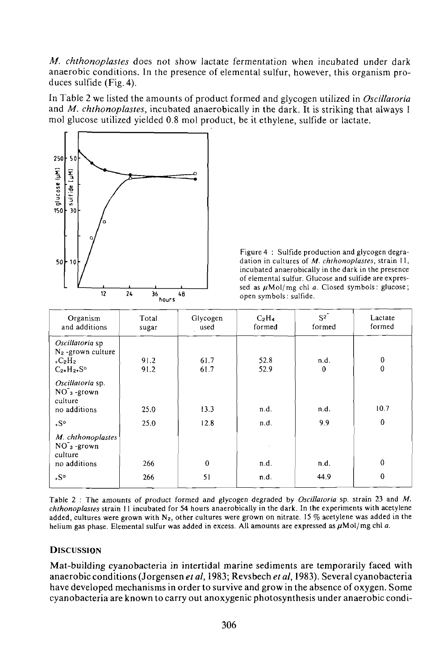*M. chthonoplastes* does not show lactate fermentation when incubated under dark anaerobic conditions. In the presence of elemental sulfur, however, this organism produces sulfide (Fig. 4).

In Table 2 we listed the amounts of product formed and glycogen utilized in *Oscillatoria*  and *M. chthonoplastes,* incubated anaerobically in the dark. It is striking that always 1 mol glucose utilized yielded 0.8 mol product, be it ethylene, sulfide or lactate.



Figure 4 : Sulfide production and glycogen degradation in cultures of *M. chthonoplastes,* strain 11, incubated anaerobically in the dark in the presence of elemental sulfur. Glucose and sulfide are expressed as  $\mu$ Mol/mg chl a. Closed symbols: glucose; open symbols : sulfide.

| Organism<br>and additions                                                       | Total<br>sugar | Glycogen<br>used | C <sub>2</sub> H <sub>4</sub><br>formed | $S^2$<br>formed  | Lactate<br>formed |
|---------------------------------------------------------------------------------|----------------|------------------|-----------------------------------------|------------------|-------------------|
| Oscillatoria sp<br>$N_2$ -grown culture<br>$+C_2H_2$<br>$C_{2+}H_{2+}S^{\circ}$ | 91.2<br>91.2   | 61.7<br>61.7     | 52.8<br>52.9                            | n.d.<br>$\bf{0}$ | $\bf{0}$<br>0     |
| Oscillatoria sp.<br>NO <sub>3</sub> -grown<br>culture<br>no additions           | 25.0           | 13.3             | n.d.                                    | n.d.             | 10.7              |
| $*S^{\circ}$                                                                    | 25.0           | 12.8             | n.d.                                    | 9.9              | $\bf{0}$          |
| M. chthonoplastes<br>$NO3$ -grown<br>culture<br>no additions                    | 266            | $\mathbf{0}$     | n.d.                                    | n d.             | 0                 |
| $*S^{\circ}$                                                                    | 266            | 51               | n.d.                                    | 44.9             | $\bf{0}$          |

Table 2 : The amounts of product formed and glycogen degraded by *Oscillatoria* sp. strain 23 and M. *chthonoplastes* strain 11 incubated for 54 hours anaerobically in the dark. In the experiments with acetylene added, cultures were grown with  $N_2$ , other cultures were grown on nitrate. 15 % acetylene was added in the helium gas phase. Elemental sulfur was added in excess. All amounts are expressed as  $\mu$ Mol/mg chl a.

#### **DISCUSSION**

Mat-building cyanobacteria in intertidal marine sediments are temporarily faced with anaerobic conditions (Jorgensenef *al,* 1983; Revsbech *et al,* 1983). Several cyanobacteria have developed mechanisms in order to survive and grow in the absence of oxygen. Some cyanobacteria are known to carry out anoxygenic photosynthesis under anaerobic condi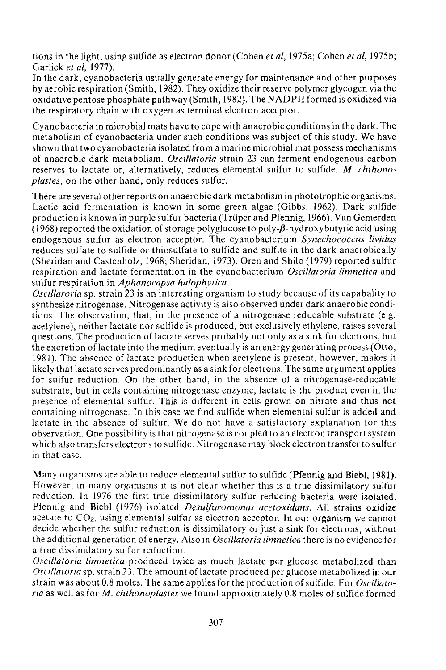tions in the light, using sulfide as electron donor (Cohen *et al,* 1975a; Cohen *et al,* 1975b; Garlick *et al,* 1977).

In the dark, cyanobacteria usually generate energy for maintenance and other purposes by aerobic respiration (Smith, 1982). They oxidize their reserve polymer glycogen via the oxidative pentose phosphate pathway (Smith, 1982). The NADPH formed is oxidized via the respiratory chain with oxygen as terminal electron acceptor.

Cyanobacteria in microbial mats have to cope with anaerobic conditions in the dark. The metabolism of cyanobacteria under such conditions was subject of this study. We have shown that two cyanobacteria isolated from a marine microbial mat possess mechanisms of anaerobic dark metabolism. *Oscillatoria* strain 23 can ferment endogenous carbon reserves to lactate or, alternatively, reduces elemental sulfur to sulfide. *M. chthonoplastes,* on the other hand, only reduces sulfur.

There are several other reports on anaerobic dark metabolism in phototrophic organisms. Lactic acid fermentation is known in some green algae (Gibbs, 1962). Dark sulfide production is known in purple sulfur bacteria (Truper and Pfennig, 1966). Van Gemerden (1968) reported the oxidation of storage polyglucose to poly- $\beta$ -hydroxybutyric acid using endogenous sulfur as electron acceptor. The cyanobacterium *Synechococcus lividus*  reduces sulfate to sulfide or thiosulfate to sulfide and sulfite in the dark anaerobically (Sheridan and Castenholz, 1968; Sheridan, 1973). Oren and Shilo (1979) reported sulfur respiration and lactate fermentation in the cyano bacterium *Oscillatoria limnetica* and sulfur respiration in *Aphanocapsa halophytica.* 

*Oscillaroria* sp. strain 23 is an interesting organism to study because of its capabality to synthesize nitrogenase. Nitrogenase activity is also observed under dark anaerobic conditions. The observation, that, in the presence of a nitrogenase reducable substrate (e.g. acetylene), neither lactate nor sulfide is produced, but exclusively ethylene, raises several questions. The production of lactate serves probably not only as a sink for electrons, but the excretion of lactate into the medium eventually is an energy generating process (Otto, 1981). The absence of lactate production when acetylene is present, however, makes it likely that lactate serves predominantly as a sink for electrons. The same argument applies for sulfur reduction. On the other hand, in the absence of a nitrogenase-reducable substrate, but in cells containing nitrogenase enzyme, lactate is the product even in the presence of elemental sulfur. This is different in cells grown on nitrate and thus not containing nitrogenase. In this case we find sulfide when elemental sulfur is added and lactate in the absence of sulfur. We do not have a satisfactory explanation for this observation. One possibility is that nitrogenase is coupled to an electron transport system which also transfers electrons to sulfide. Nitrogenase may block electron transfer to sulfur in that case.

Many organisms are able to reduce elemental sulfur to sulfide (Pfennig and Biebl, 1981). However, in many organisms it is not clear whether this is a true dissimilatory sulfur reduction. In 1976 the first true dissimilatory sulfur reducing bacteria were isolated. Pfennig and Biebl (1976) isolated *Desulfuromonas acetaxidans.* All strains oxidize acetate to  $CO<sub>2</sub>$ , using elemental sulfur as electron acceptor. In our organism we cannot decide whether the sulfur reduction is dissimilatory or just a sink for electrons, without the additional generation of energy. Also in *Oscillatoria limnetica* there is no evidence for a true dissimilatory sulfur reduction.

*Oscillatoria limnetica* produced twice as much lactate per glucose metabolized than *Oscillatoria* sp. strain 23. The amount of lactate produced per glucose metabolized in our strain was about 0.8 moles. The same applies for the production of sulfide. For *Oscillatoria* as well as for *M. chthonoplastes* we found approximately 0.8 moles of sulfide formed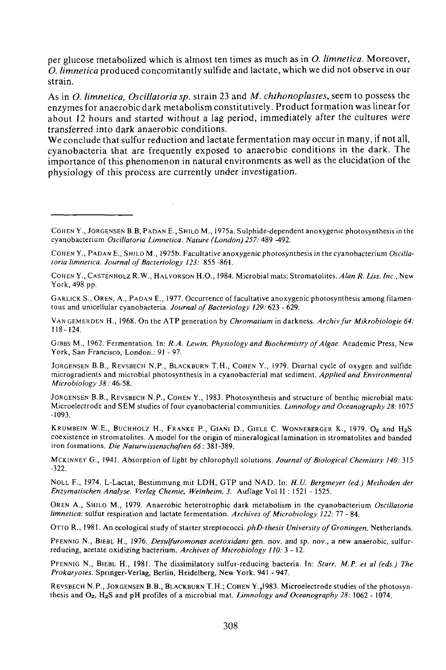per glucose metabolized which is almost ten times as much as in *O. limnetica.* Moreover, *O. limnetica* produced concomitantly sulfide and lactate, which we did not observe in our strain.

As in *O. limnetica, Oscillaloria sp.* strain 23 and *M. chthonoplastes,* seem to possess the enzymes for anaerobic dark metabolism constitutively. Product formation was linear for about 12 hours and started without a lag period, immediately after the cultures were transferred into dark anaerobic conditions.

We conclude that sulfur reduction and lactate fermentation may occur in many, if not all, cyanobacteria that are frequently exposed to anaerobic conditions in the dark. The importance of this phenomenon in natural environments as well as the elucidation of the physiology of this process are currently under investigation.

GARLICK S., OREN, A., PADAN E., 1977. Occurrence of facultative anoxygenic photosynthesis among filamentous and unicellular cyanobacteria. *Journal of Bacteriology 129:* 623 - 629.

VAN GEMERDEN H., 1968. On the ATP generation by *Chromatium* in darkness. *Archivfur Mikrobiologie 64:*  118-124.

GIBBS M., 1962. Fermentation. In: *R.A. Lewin, Physiology and Biochemistry of Algae.* Academic Press, New York, San Francisco, London.: 91 - 97.

JORGENSEN B.B., REVSBECH N.P., BLACKBURN T.H., COHEN Y., 1979. Diurnal cycle of oxygen and sulfide microgradients and microbial photosynthesis in a cyanobacterial mat sediment. *Applied and Environmental Microbiology 38:*46-58.

JORGENSEN B.B., REVSBECH N.P., COHEN Y., 1983. Photosynthesis and structure of benthic microbial mats: Microelectrode and SEM studies of four cyanobacterial communities. *Limnology and Oceanography 28:* 1075 -1093.

KRUMBEIN W.E., BUCHHOLZ H., FRANKE P., GIANI D., GIELE C WONNEBERGER K., 1979. Oz and H2S coexistence in stromatolites. A model for the origin of mineralogical lamination in stromatolites and banded iron formations. *Die Naturwissenschaften 66:* 381-389.

MCKINNEV G., I94I. Absorption of light by chlorophyll solutions. *Journal of Biological Chemistry 140:* 315 -322.

NOLL F., 1974. L-Lactat, Bestimmung mit LDH, GTP und NAD. In: *H.U. Bergmeyer (ed.) Methoden der Enzymatischen Analyse. Verlag Chemie, Weinheim, 3.* Auflage Vol II : 1521 - 1525.

OREN A., SHILO M., 1979. Anaerobic heterotrophic dark metabolism in the cyanobacterium *Oscillaloria limnetica:* sulfur respiration and lactate fermentation. *Archives of Microbiology 122:11 -* 84.

OTTO R., 1981. An ecological study of starter streptococci. *phD-lhesis University of Groningen,* Netherlands.

PFENNIG N., BIEBL H., 1976.. *Desulfuromonas acetoxidans* gen. *nov.* and sp. nov., a new anaerobic, sulfurreducing, acetate oxidizing bacterium. *Archives of Microbiology 110:* 3 - 12.

PFENNIG N., BIEBL H., 1981. The dissimilatory sulfur-reducing bacteria. In: *Starr, M.P. el al (eds.) The Prokaryoles.* Springer-Verlag, Berlin, Heidelberg, New York. 941 -947.

REVSBECH N.P., JORGENSEN B.B., BLACKBURN T.H.; COHEN Y.,I983. Microelectrode studies of the photosynthesis and O2, H2S and pH profiles of a microbial mat. *Limnology and Oceanography 28:* 1062 - 1074.

COHEN Y., JOROENSEN B.B, PADAN E., SHILO M., 1975a. Sulphide-dependent anoxygenic photosynthesis in the cyanobacterium *Oscillaloria Limnetica. Nature (London) 257:* 489 -492.

COHEN Y., PADAN E., SHILO M., 1975b. Facultative anoxygenic photosynthesis in the cyanobacterium *Oscillaloria limnetica. Journal of Bacteriology 123:* 855 -861.

COHEN Y., CASTENHOLZ R.W., HALVORSON H.O., 1984. Microbial mats: Stromatolites. *A/an R. Liss, Inc.,* New York, 498 pp.